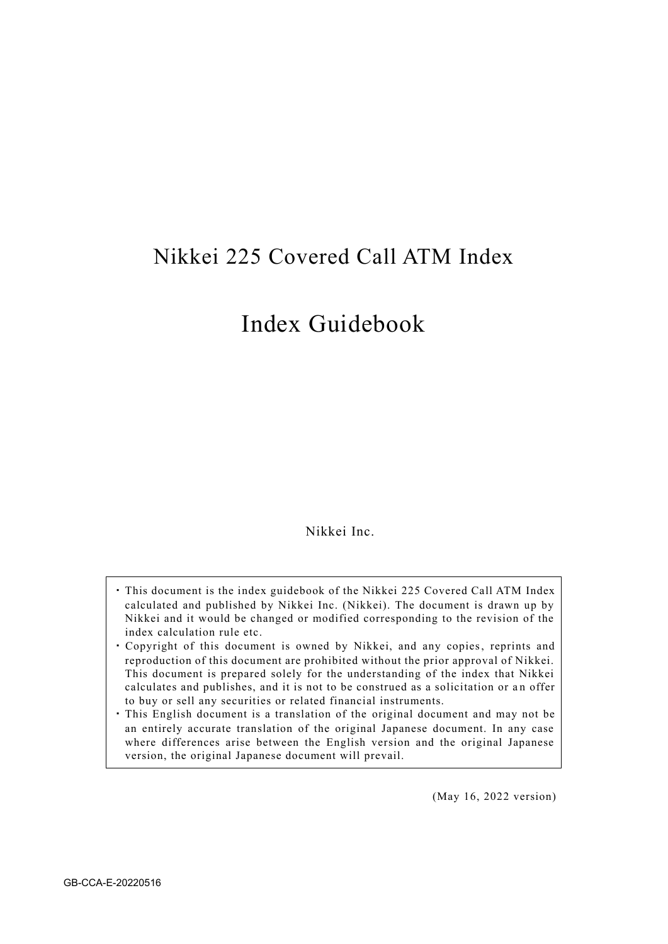# Nikkei 225 Covered Call ATM Index

# Index Guidebook

Nikkei Inc.

- ・This document is the index guidebook of the Nikkei 225 Covered Call ATM Index calculated and published by Nikkei Inc. (Nikkei). The document is drawn up by Nikkei and it would be changed or modified corresponding to the revision of the index calculation rule etc.
- ・ Copyright of this document is owned by Nikkei, and any copies, reprints and reproduction of this document are prohibited without the prior approval of Nikkei. This document is prepared solely for the understanding of the index that Nikkei calculates and publishes, and it is not to be construed as a solicitation or a n offer to buy or sell any securities or related financial instruments.
- ・This English document is a translation of the original document and may not be an entirely accurate translation of the original Japanese document. In any case where differences arise between the English version and the original Japanese version, the original Japanese document will prevail.

(May 16, 2022 version)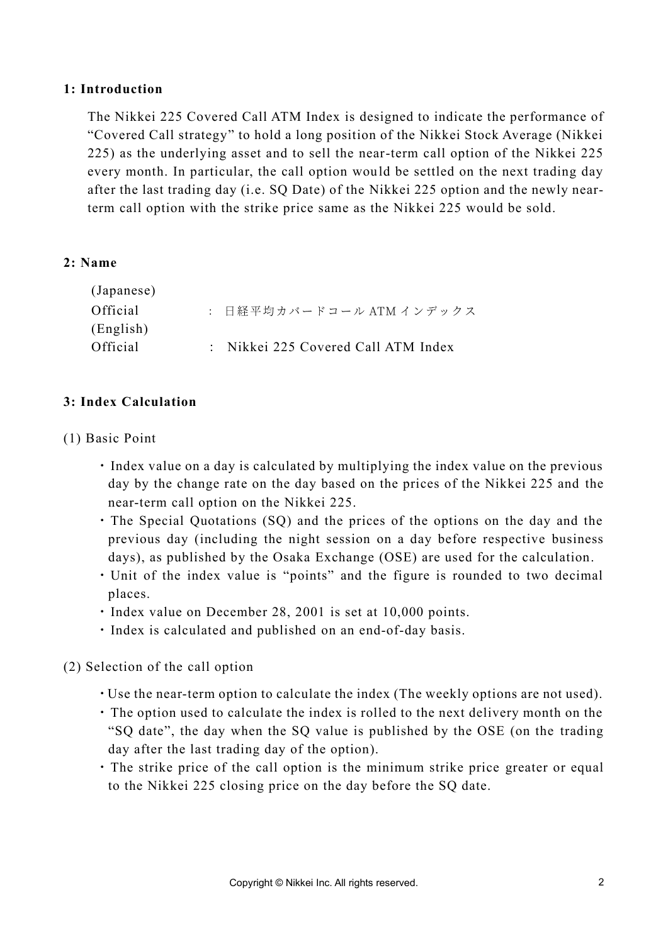#### **1: Introduction**

The Nikkei 225 Covered Call ATM Index is designed to indicate the performance of "Covered Call strategy" to hold a long position of the Nikkei Stock Average (Nikkei 225) as the underlying asset and to sell the near-term call option of the Nikkei 225 every month. In particular, the call option would be settled on the next trading day after the last trading day (i.e. SQ Date) of the Nikkei 225 option and the newly nearterm call option with the strike price same as the Nikkei 225 would be sold.

#### **2: Name**

| (Japanese) |                                     |
|------------|-------------------------------------|
| Official   | : 日経平均カバードコール ATM インデックス            |
| (English)  |                                     |
| Official   | : Nikkei 225 Covered Call ATM Index |
|            |                                     |

#### **3: Index Calculation**

- (1) Basic Point
	- ・Index value on a day is calculated by multiplying the index value on the previous day by the change rate on the day based on the prices of the Nikkei 225 and the near-term call option on the Nikkei 225.
	- ・The Special Quotations (SQ) and the prices of the options on the day and the previous day (including the night session on a day before respective business days), as published by the Osaka Exchange (OSE) are used for the calculation.
	- ・Unit of the index value is "points" and the figure is rounded to two decimal places.
	- ・Index value on December 28, 2001 is set at 10,000 points.
	- ・Index is calculated and published on an end-of-day basis.
- (2) Selection of the call option
	- ・Use the near-term option to calculate the index (The weekly options are not used).
	- ・The option used to calculate the index is rolled to the next delivery month on the "SQ date", the day when the SQ value is published by the OSE (on the trading day after the last trading day of the option).
	- ・The strike price of the call option is the minimum strike price greater or equal to the Nikkei 225 closing price on the day before the SQ date.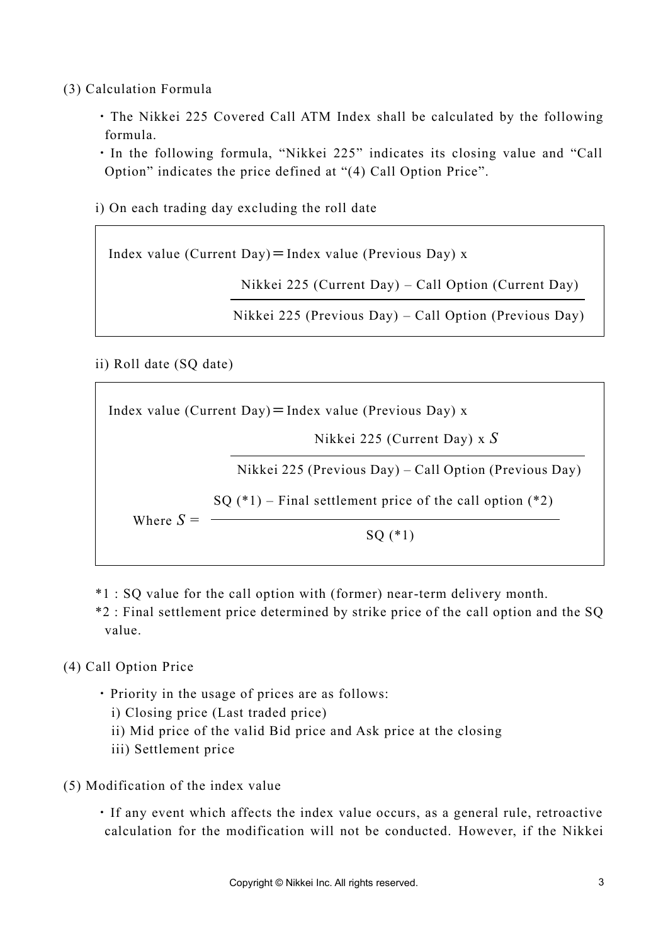(3) Calculation Formula

- ・The Nikkei 225 Covered Call ATM Index shall be calculated by the following formula.
- ・In the following formula, "Nikkei 225" indicates its closing value and "Call Option" indicates the price defined at "(4) Call Option Price".
- i) On each trading day excluding the roll date

Index value (Current Day) = Index value (Previous Day)  $x$ 

Nikkei 225 (Current Day) – Call Option (Current Day)

Nikkei 225 (Previous Day) – Call Option (Previous Day)

ii) Roll date (SQ date)

Index value (Current Day) = Index value (Previous Day) x Where  $S =$ Nikkei 225 (Current Day) x *S* Nikkei 225 (Previous Day) – Call Option (Previous Day) SQ (\*1)  $SQ$  (\*1) – Final settlement price of the call option (\*2)

- \*1 : SQ value for the call option with (former) near-term delivery month.
- \*2 : Final settlement price determined by strike price of the call option and the SQ value.

### (4) Call Option Price

- ・Priority in the usage of prices are as follows:
	- i) Closing price (Last traded price)
	- ii) Mid price of the valid Bid price and Ask price at the closing
	- iii) Settlement price
- (5) Modification of the index value
	- ・If any event which affects the index value occurs, as a general rule, retroactive calculation for the modification will not be conducted. However, if the Nikkei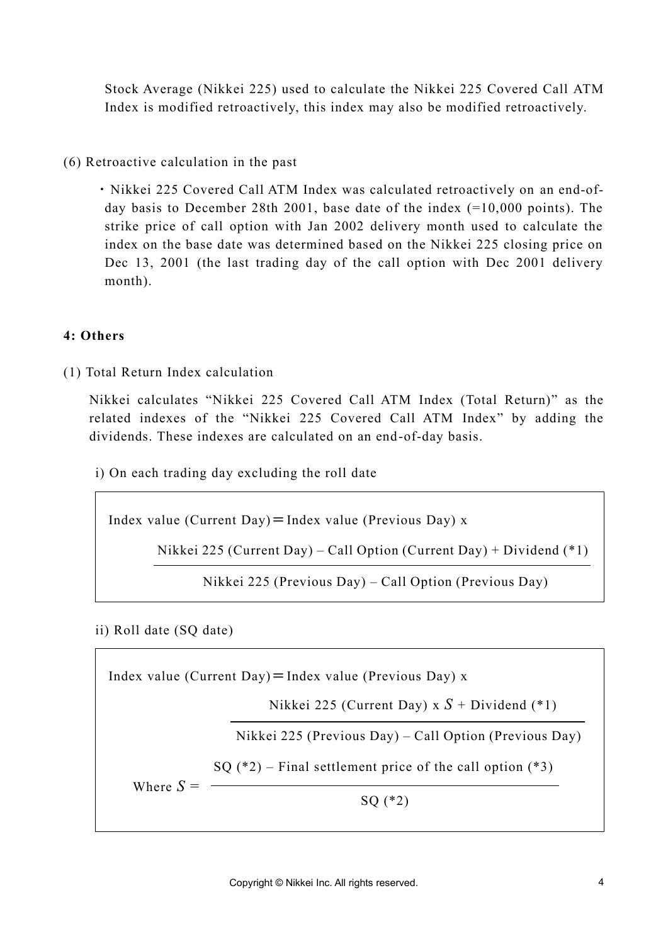Stock Average (Nikkei 225) used to calculate the Nikkei 225 Covered Call ATM Index is modified retroactively, this index may also be modified retroactively.

(6) Retroactive calculation in the past

・Nikkei 225 Covered Call ATM Index was calculated retroactively on an end-ofday basis to December 28th 2001, base date of the index (=10,000 points). The strike price of call option with Jan 2002 delivery month used to calculate the index on the base date was determined based on the Nikkei 225 closing price on Dec 13, 2001 (the last trading day of the call option with Dec 2001 delivery month).

### **4: Others**

(1) Total Return Index calculation

Nikkei calculates "Nikkei 225 Covered Call ATM Index (Total Return)" as the related indexes of the "Nikkei 225 Covered Call ATM Index" by adding the dividends. These indexes are calculated on an end-of-day basis.

i) On each trading day excluding the roll date

Index value (Current Day) = Index value (Previous Day)  $x$ 

Nikkei 225 (Current Day) – Call Option (Current Day) + Dividend (\*1)

Nikkei 225 (Previous Day) – Call Option (Previous Day)

ii) Roll date (SQ date)

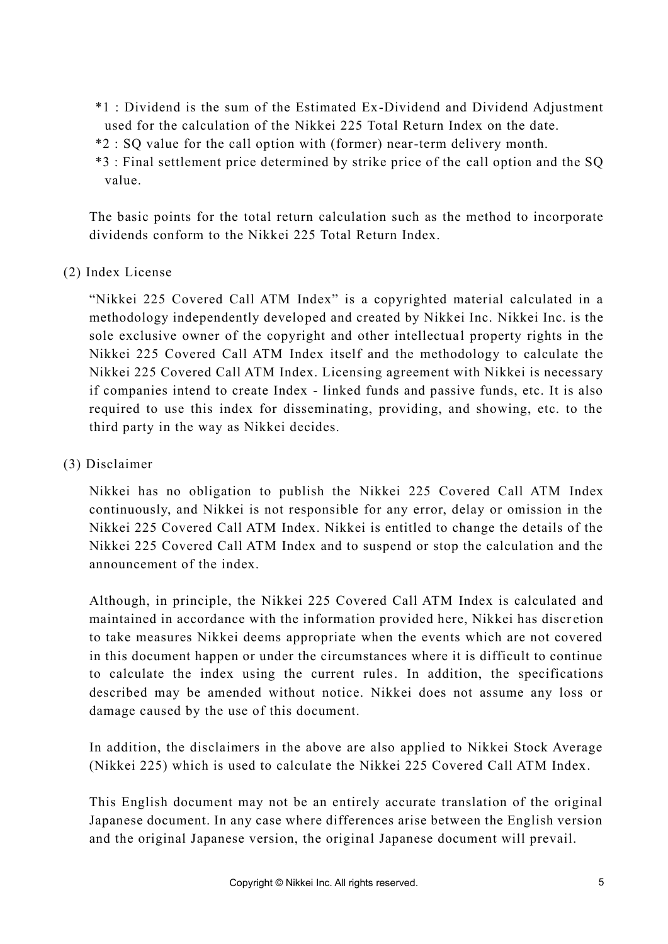- \*1 : Dividend is the sum of the Estimated Ex-Dividend and Dividend Adjustment used for the calculation of the Nikkei 225 Total Return Index on the date.
- \*2 : SQ value for the call option with (former) near-term delivery month.
- \*3 : Final settlement price determined by strike price of the call option and the SQ value.

The basic points for the total return calculation such as the method to incorporate dividends conform to the Nikkei 225 Total Return Index.

## (2) Index License

"Nikkei 225 Covered Call ATM Index" is a copyrighted material calculated in a methodology independently developed and created by Nikkei Inc. Nikkei Inc. is the sole exclusive owner of the copyright and other intellectual property rights in the Nikkei 225 Covered Call ATM Index itself and the methodology to calculate the Nikkei 225 Covered Call ATM Index. Licensing agreement with Nikkei is necessary if companies intend to create Index - linked funds and passive funds, etc. It is also required to use this index for disseminating, providing, and showing, etc. to the third party in the way as Nikkei decides.

### (3) Disclaimer

Nikkei has no obligation to publish the Nikkei 225 Covered Call ATM Index continuously, and Nikkei is not responsible for any error, delay or omission in the Nikkei 225 Covered Call ATM Index. Nikkei is entitled to change the details of the Nikkei 225 Covered Call ATM Index and to suspend or stop the calculation and the announcement of the index.

Although, in principle, the Nikkei 225 Covered Call ATM Index is calculated and maintained in accordance with the information provided here, Nikkei has discretion to take measures Nikkei deems appropriate when the events which are not covered in this document happen or under the circumstances where it is difficult to continue to calculate the index using the current rules. In addition, the specifications described may be amended without notice. Nikkei does not assume any loss or damage caused by the use of this document.

In addition, the disclaimers in the above are also applied to Nikkei Stock Average (Nikkei 225) which is used to calculate the Nikkei 225 Covered Call ATM Index.

This English document may not be an entirely accurate translation of the original Japanese document. In any case where differences arise between the English version and the original Japanese version, the original Japanese document will prevail.